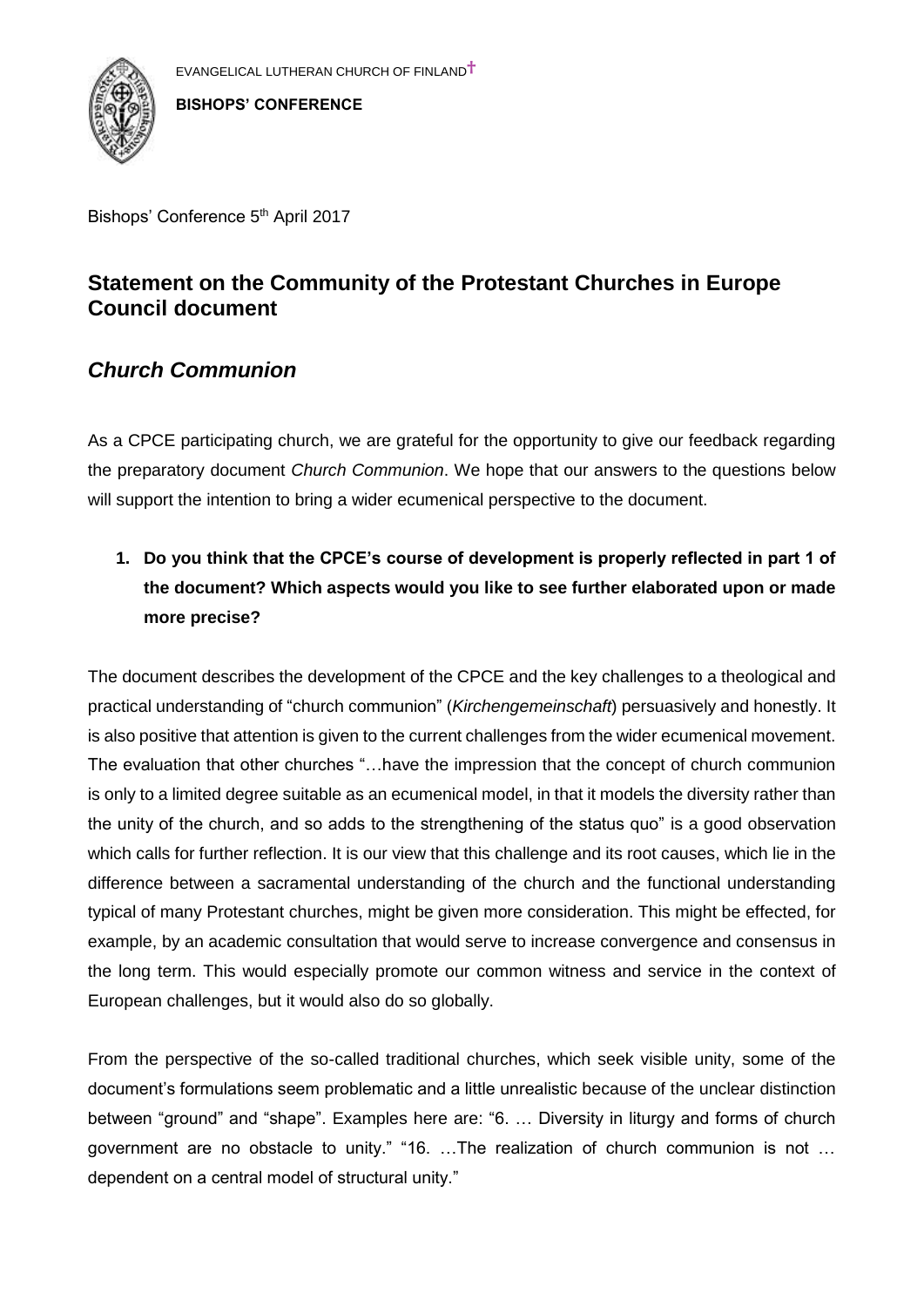

Bishops' Conference 5<sup>th</sup> April 2017

# **Statement on the Community of the Protestant Churches in Europe Council document**

### *Church Communion*

As a CPCE participating church, we are grateful for the opportunity to give our feedback regarding the preparatory document *Church Communion*. We hope that our answers to the questions below will support the intention to bring a wider ecumenical perspective to the document.

**1. Do you think that the CPCE's course of development is properly reflected in part 1 of the document? Which aspects would you like to see further elaborated upon or made more precise?**

The document describes the development of the CPCE and the key challenges to a theological and practical understanding of "church communion" (*Kirchengemeinschaft*) persuasively and honestly. It is also positive that attention is given to the current challenges from the wider ecumenical movement. The evaluation that other churches "…have the impression that the concept of church communion is only to a limited degree suitable as an ecumenical model, in that it models the diversity rather than the unity of the church, and so adds to the strengthening of the status quo" is a good observation which calls for further reflection. It is our view that this challenge and its root causes, which lie in the difference between a sacramental understanding of the church and the functional understanding typical of many Protestant churches, might be given more consideration. This might be effected, for example, by an academic consultation that would serve to increase convergence and consensus in the long term. This would especially promote our common witness and service in the context of European challenges, but it would also do so globally.

From the perspective of the so-called traditional churches, which seek visible unity, some of the document's formulations seem problematic and a little unrealistic because of the unclear distinction between "ground" and "shape". Examples here are: "6. … Diversity in liturgy and forms of church government are no obstacle to unity." "16. …The realization of church communion is not … dependent on a central model of structural unity."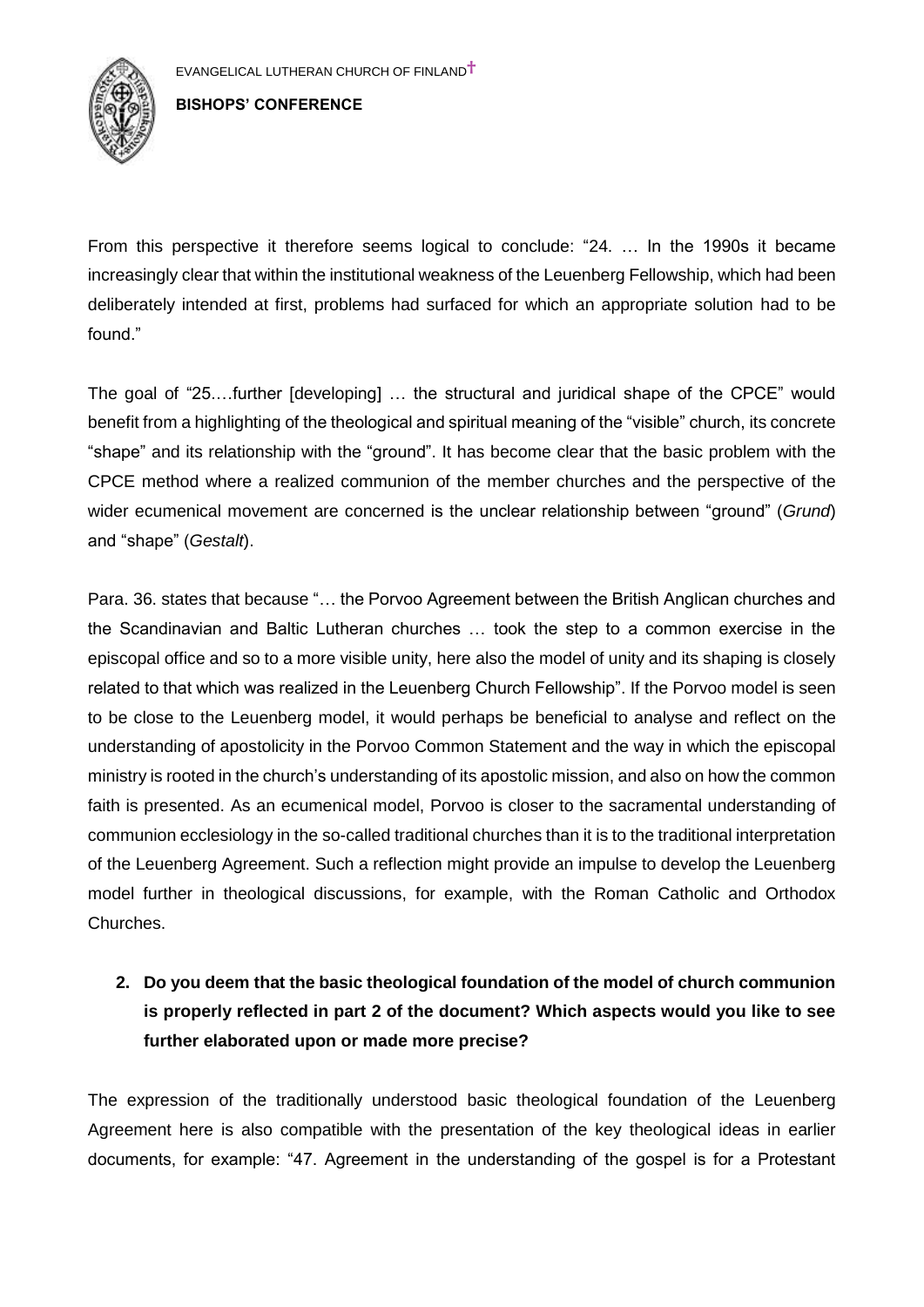

From this perspective it therefore seems logical to conclude: "24. … In the 1990s it became increasingly clear that within the institutional weakness of the Leuenberg Fellowship, which had been deliberately intended at first, problems had surfaced for which an appropriate solution had to be found."

The goal of "25.…further [developing] … the structural and juridical shape of the CPCE" would benefit from a highlighting of the theological and spiritual meaning of the "visible" church, its concrete "shape" and its relationship with the "ground". It has become clear that the basic problem with the CPCE method where a realized communion of the member churches and the perspective of the wider ecumenical movement are concerned is the unclear relationship between "ground" (*Grund*) and "shape" (*Gestalt*).

Para. 36. states that because "… the Porvoo Agreement between the British Anglican churches and the Scandinavian and Baltic Lutheran churches … took the step to a common exercise in the episcopal office and so to a more visible unity, here also the model of unity and its shaping is closely related to that which was realized in the Leuenberg Church Fellowship". If the Porvoo model is seen to be close to the Leuenberg model, it would perhaps be beneficial to analyse and reflect on the understanding of apostolicity in the Porvoo Common Statement and the way in which the episcopal ministry is rooted in the church's understanding of its apostolic mission, and also on how the common faith is presented. As an ecumenical model, Porvoo is closer to the sacramental understanding of communion ecclesiology in the so-called traditional churches than it is to the traditional interpretation of the Leuenberg Agreement. Such a reflection might provide an impulse to develop the Leuenberg model further in theological discussions, for example, with the Roman Catholic and Orthodox Churches.

# **2. Do you deem that the basic theological foundation of the model of church communion is properly reflected in part 2 of the document? Which aspects would you like to see further elaborated upon or made more precise?**

The expression of the traditionally understood basic theological foundation of the Leuenberg Agreement here is also compatible with the presentation of the key theological ideas in earlier documents, for example: "47. Agreement in the understanding of the gospel is for a Protestant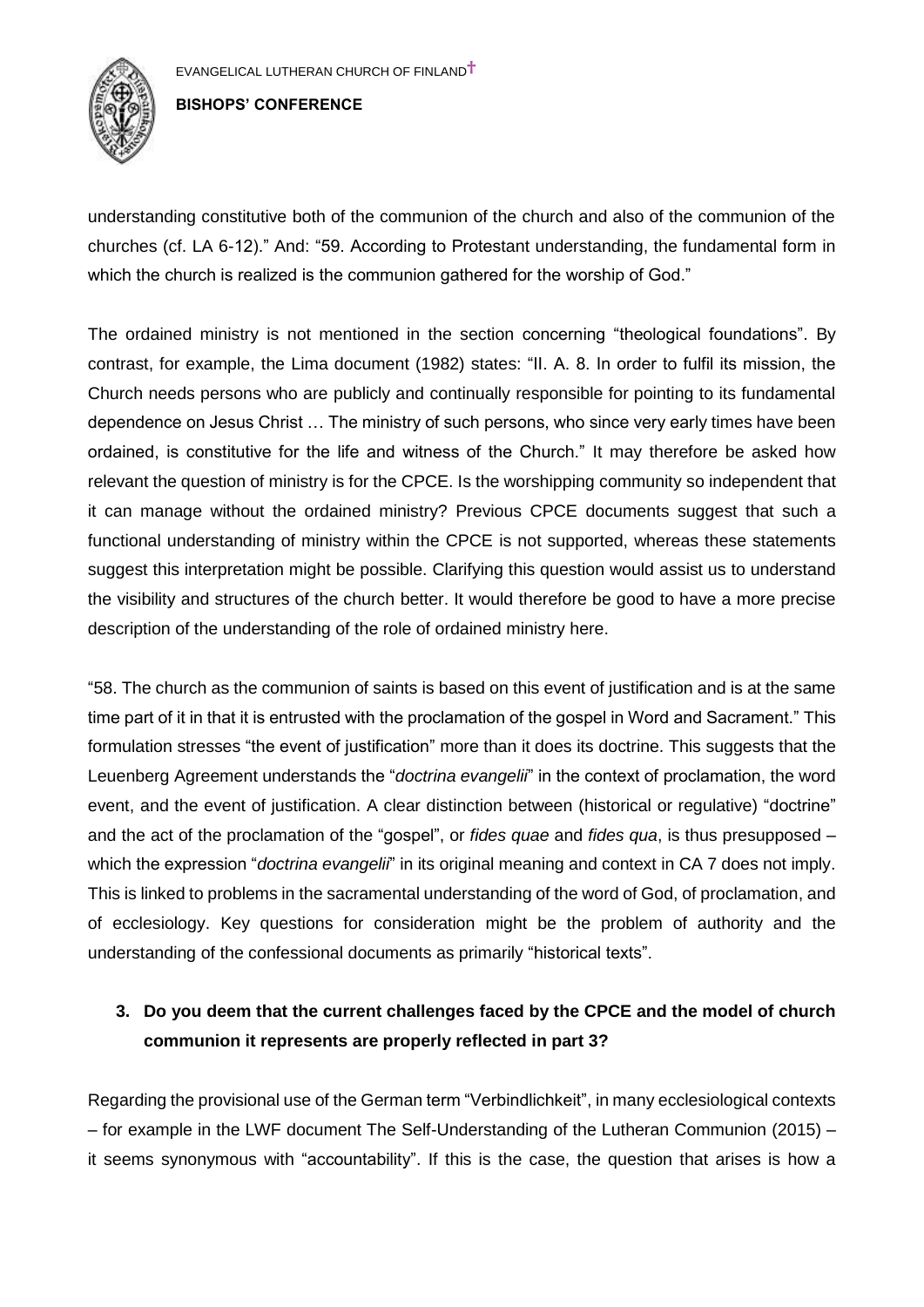

understanding constitutive both of the communion of the church and also of the communion of the churches (cf. LA 6-12)." And: "59. According to Protestant understanding, the fundamental form in which the church is realized is the communion gathered for the worship of God."

The ordained ministry is not mentioned in the section concerning "theological foundations". By contrast, for example, the Lima document (1982) states: "II. A. 8. In order to fulfil its mission, the Church needs persons who are publicly and continually responsible for pointing to its fundamental dependence on Jesus Christ … The ministry of such persons, who since very early times have been ordained, is constitutive for the life and witness of the Church." It may therefore be asked how relevant the question of ministry is for the CPCE. Is the worshipping community so independent that it can manage without the ordained ministry? Previous CPCE documents suggest that such a functional understanding of ministry within the CPCE is not supported, whereas these statements suggest this interpretation might be possible. Clarifying this question would assist us to understand the visibility and structures of the church better. It would therefore be good to have a more precise description of the understanding of the role of ordained ministry here.

"58. The church as the communion of saints is based on this event of justification and is at the same time part of it in that it is entrusted with the proclamation of the gospel in Word and Sacrament." This formulation stresses "the event of justification" more than it does its doctrine. This suggests that the Leuenberg Agreement understands the "*doctrina evangelii*" in the context of proclamation, the word event, and the event of justification. A clear distinction between (historical or regulative) "doctrine" and the act of the proclamation of the "gospel", or *fides quae* and *fides qua*, is thus presupposed – which the expression "*doctrina evangelii*" in its original meaning and context in CA 7 does not imply. This is linked to problems in the sacramental understanding of the word of God, of proclamation, and of ecclesiology. Key questions for consideration might be the problem of authority and the understanding of the confessional documents as primarily "historical texts".

## **3. Do you deem that the current challenges faced by the CPCE and the model of church communion it represents are properly reflected in part 3?**

Regarding the provisional use of the German term "Verbindlichkeit", in many ecclesiological contexts – for example in the LWF document The Self-Understanding of the Lutheran Communion (2015) – it seems synonymous with "accountability". If this is the case, the question that arises is how a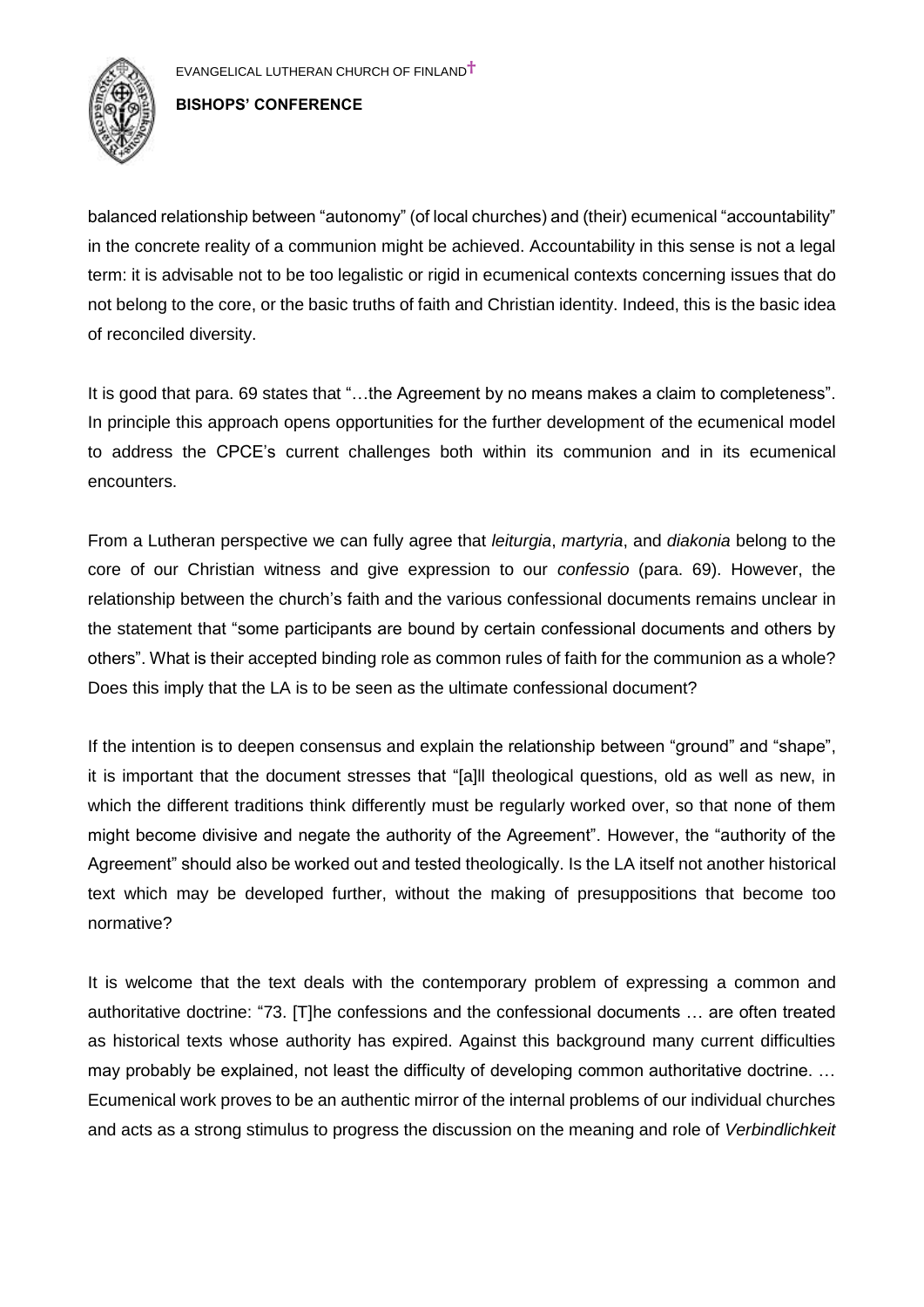

balanced relationship between "autonomy" (of local churches) and (their) ecumenical "accountability" in the concrete reality of a communion might be achieved. Accountability in this sense is not a legal term: it is advisable not to be too legalistic or rigid in ecumenical contexts concerning issues that do not belong to the core, or the basic truths of faith and Christian identity. Indeed, this is the basic idea of reconciled diversity.

It is good that para. 69 states that "…the Agreement by no means makes a claim to completeness". In principle this approach opens opportunities for the further development of the ecumenical model to address the CPCE's current challenges both within its communion and in its ecumenical encounters.

From a Lutheran perspective we can fully agree that *leiturgia*, *martyria*, and *diakonia* belong to the core of our Christian witness and give expression to our *confessio* (para. 69). However, the relationship between the church's faith and the various confessional documents remains unclear in the statement that "some participants are bound by certain confessional documents and others by others". What is their accepted binding role as common rules of faith for the communion as a whole? Does this imply that the LA is to be seen as the ultimate confessional document?

If the intention is to deepen consensus and explain the relationship between "ground" and "shape", it is important that the document stresses that "[a]ll theological questions, old as well as new, in which the different traditions think differently must be regularly worked over, so that none of them might become divisive and negate the authority of the Agreement". However, the "authority of the Agreement" should also be worked out and tested theologically. Is the LA itself not another historical text which may be developed further, without the making of presuppositions that become too normative?

It is welcome that the text deals with the contemporary problem of expressing a common and authoritative doctrine: "73. [T]he confessions and the confessional documents … are often treated as historical texts whose authority has expired. Against this background many current difficulties may probably be explained, not least the difficulty of developing common authoritative doctrine. … Ecumenical work proves to be an authentic mirror of the internal problems of our individual churches and acts as a strong stimulus to progress the discussion on the meaning and role of *Verbindlichkeit*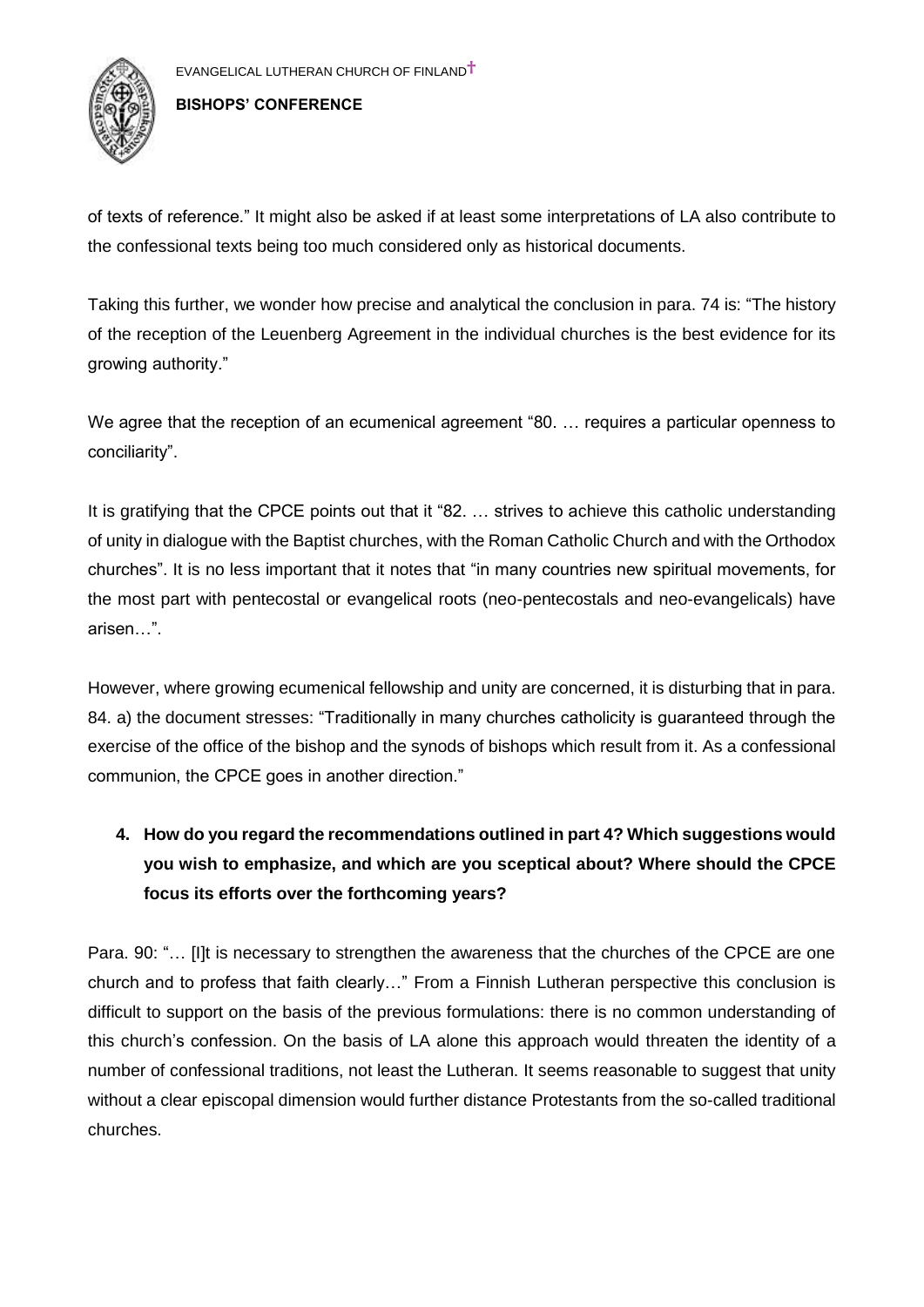

of texts of reference." It might also be asked if at least some interpretations of LA also contribute to the confessional texts being too much considered only as historical documents.

Taking this further, we wonder how precise and analytical the conclusion in para. 74 is: "The history of the reception of the Leuenberg Agreement in the individual churches is the best evidence for its growing authority."

We agree that the reception of an ecumenical agreement "80. ... requires a particular openness to conciliarity".

It is gratifying that the CPCE points out that it "82. … strives to achieve this catholic understanding of unity in dialogue with the Baptist churches, with the Roman Catholic Church and with the Orthodox churches". It is no less important that it notes that "in many countries new spiritual movements, for the most part with pentecostal or evangelical roots (neo-pentecostals and neo-evangelicals) have arisen…".

However, where growing ecumenical fellowship and unity are concerned, it is disturbing that in para. 84. a) the document stresses: "Traditionally in many churches catholicity is guaranteed through the exercise of the office of the bishop and the synods of bishops which result from it. As a confessional communion, the CPCE goes in another direction."

# **4. How do you regard the recommendations outlined in part 4? Which suggestions would you wish to emphasize, and which are you sceptical about? Where should the CPCE focus its efforts over the forthcoming years?**

Para. 90: "... [I]t is necessary to strengthen the awareness that the churches of the CPCE are one church and to profess that faith clearly…" From a Finnish Lutheran perspective this conclusion is difficult to support on the basis of the previous formulations: there is no common understanding of this church's confession. On the basis of LA alone this approach would threaten the identity of a number of confessional traditions, not least the Lutheran. It seems reasonable to suggest that unity without a clear episcopal dimension would further distance Protestants from the so-called traditional churches.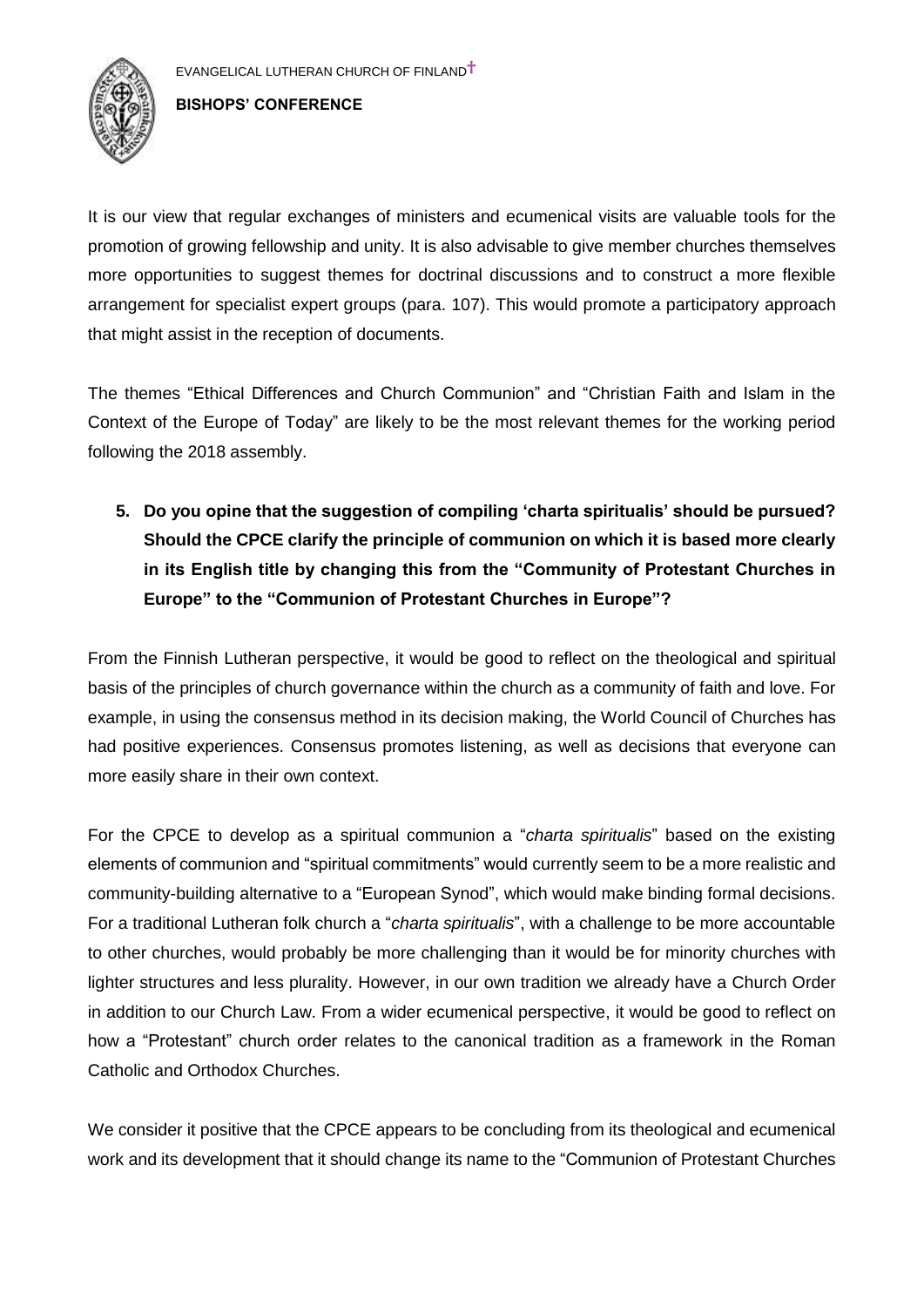

It is our view that regular exchanges of ministers and ecumenical visits are valuable tools for the promotion of growing fellowship and unity. It is also advisable to give member churches themselves more opportunities to suggest themes for doctrinal discussions and to construct a more flexible arrangement for specialist expert groups (para. 107). This would promote a participatory approach that might assist in the reception of documents.

The themes "Ethical Differences and Church Communion" and "Christian Faith and Islam in the Context of the Europe of Today" are likely to be the most relevant themes for the working period following the 2018 assembly.

**5. Do you opine that the suggestion of compiling 'charta spiritualis' should be pursued? Should the CPCE clarify the principle of communion on which it is based more clearly in its English title by changing this from the "Community of Protestant Churches in Europe" to the "Communion of Protestant Churches in Europe"?**

From the Finnish Lutheran perspective, it would be good to reflect on the theological and spiritual basis of the principles of church governance within the church as a community of faith and love. For example, in using the consensus method in its decision making, the World Council of Churches has had positive experiences. Consensus promotes listening, as well as decisions that everyone can more easily share in their own context.

For the CPCE to develop as a spiritual communion a "*charta spiritualis*" based on the existing elements of communion and "spiritual commitments" would currently seem to be a more realistic and community-building alternative to a "European Synod", which would make binding formal decisions. For a traditional Lutheran folk church a "*charta spiritualis*", with a challenge to be more accountable to other churches, would probably be more challenging than it would be for minority churches with lighter structures and less plurality. However, in our own tradition we already have a Church Order in addition to our Church Law. From a wider ecumenical perspective, it would be good to reflect on how a "Protestant" church order relates to the canonical tradition as a framework in the Roman Catholic and Orthodox Churches.

We consider it positive that the CPCE appears to be concluding from its theological and ecumenical work and its development that it should change its name to the "Communion of Protestant Churches